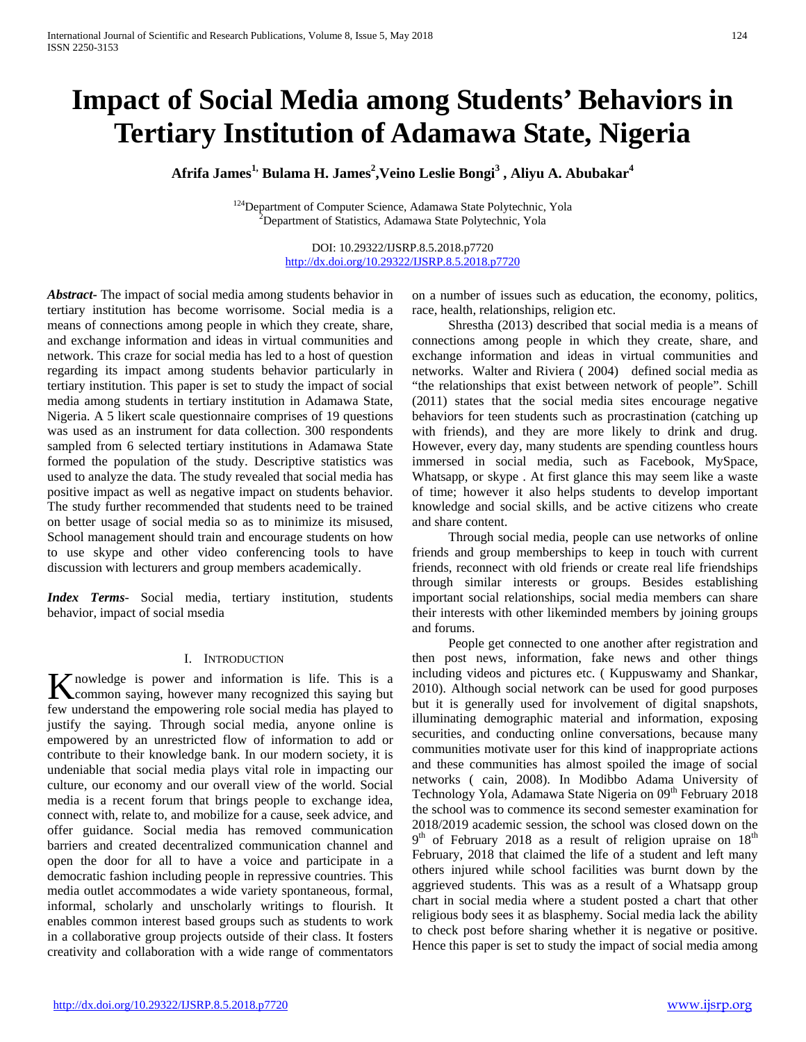# **Impact of Social Media among Students' Behaviors in Tertiary Institution of Adamawa State, Nigeria**

 $\mathbf{A}\mathbf{f}\mathbf{r}$ ifa James $\mathrm{^{1,}}$  Bulama H. James $\mathrm{^{2,}}$ Veino Leslie Bongi $\mathrm{^{3}}$  , Aliyu A. Abubakar $\mathrm{^{4}}$ 

<sup>124</sup>Department of Computer Science, Adamawa State Polytechnic, Yola Department of Statistics, Adamawa State Polytechnic, Yola

> DOI: 10.29322/IJSRP.8.5.2018.p7720 <http://dx.doi.org/10.29322/IJSRP.8.5.2018.p7720>

*Abstract***-** The impact of social media among students behavior in tertiary institution has become worrisome. Social media is a means of connections among people in which they create, share, and exchange information and ideas in virtual communities and network. This craze for social media has led to a host of question regarding its impact among students behavior particularly in tertiary institution. This paper is set to study the impact of social media among students in tertiary institution in Adamawa State, Nigeria. A 5 likert scale questionnaire comprises of 19 questions was used as an instrument for data collection. 300 respondents sampled from 6 selected tertiary institutions in Adamawa State formed the population of the study. Descriptive statistics was used to analyze the data. The study revealed that social media has positive impact as well as negative impact on students behavior. The study further recommended that students need to be trained on better usage of social media so as to minimize its misused, School management should train and encourage students on how to use skype and other video conferencing tools to have discussion with lecturers and group members academically.

*Index Terms*- Social media, tertiary institution, students behavior, impact of social msedia

#### I. INTRODUCTION

nowledge is power and information is life. This is a K nowledge is power and information is life. This is a common saying, however many recognized this saying but few understand the empowering role social media has played to justify the saying. Through social media, anyone online is empowered by an unrestricted flow of information to add or contribute to their knowledge bank. In our modern society, it is undeniable that social media plays vital role in impacting our culture, our economy and our overall view of the world. Social media is a recent forum that brings people to exchange idea, connect with, relate to, and mobilize for a cause, seek advice, and offer guidance. Social media has removed communication barriers and created decentralized communication channel and open the door for all to have a voice and participate in a democratic fashion including people in repressive countries. This media outlet accommodates a wide variety spontaneous, formal, informal, scholarly and unscholarly writings to flourish. It enables common interest based groups such as students to work in a collaborative group projects outside of their class. It fosters creativity and collaboration with a wide range of commentators

on a number of issues such as education, the economy, politics, race, health, relationships, religion etc.

 Shrestha (2013) described that social media is a means of connections among people in which they create, share, and exchange information and ideas in virtual communities and networks. Walter and Riviera ( 2004) defined social media as "the relationships that exist between network of people". Schill (2011) states that the social media sites encourage negative behaviors for teen students such as procrastination (catching up with friends), and they are more likely to drink and drug. However, every day, many students are spending countless hours immersed in social media, such as Facebook, MySpace, Whatsapp, or skype . At first glance this may seem like a waste of time; however it also helps students to develop important knowledge and social skills, and be active citizens who create and share content.

 Through social media, people can use networks of online friends and group memberships to keep in touch with current friends, reconnect with old friends or create real life friendships through similar interests or groups. Besides establishing important social relationships, social media members can share their interests with other likeminded members by joining groups and forums.

 People get connected to one another after registration and then post news, information, fake news and other things including videos and pictures etc. ( Kuppuswamy and Shankar, 2010). Although social network can be used for good purposes but it is generally used for involvement of digital snapshots, illuminating demographic material and information, exposing securities, and conducting online conversations, because many communities motivate user for this kind of inappropriate actions and these communities has almost spoiled the image of social networks ( cain, 2008). In Modibbo Adama University of Technology Yola, Adamawa State Nigeria on 09<sup>th</sup> February 2018 the school was to commence its second semester examination for 2018/2019 academic session, the school was closed down on the  $9<sup>th</sup>$  of February 2018 as a result of religion upraise on  $18<sup>th</sup>$ February, 2018 that claimed the life of a student and left many others injured while school facilities was burnt down by the aggrieved students. This was as a result of a Whatsapp group chart in social media where a student posted a chart that other religious body sees it as blasphemy. Social media lack the ability to check post before sharing whether it is negative or positive. Hence this paper is set to study the impact of social media among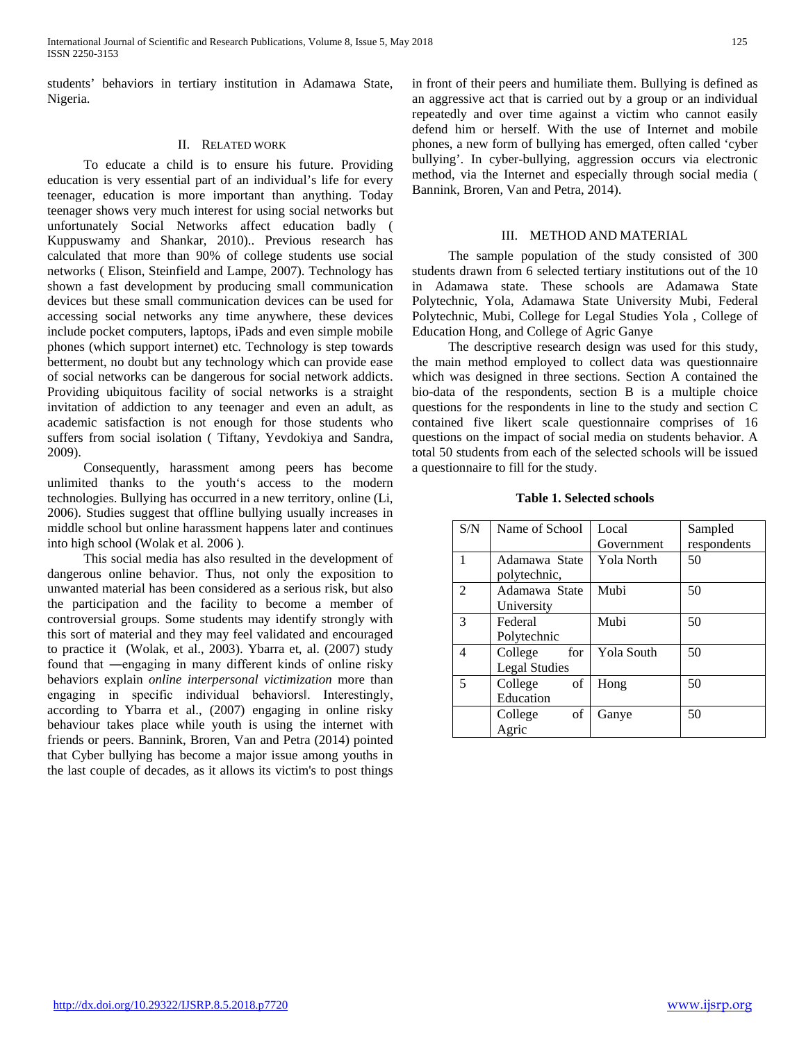students' behaviors in tertiary institution in Adamawa State, Nigeria.

#### II. RELATED WORK

 To educate a child is to ensure his future. Providing education is very essential part of an individual's life for every teenager, education is more important than anything. Today teenager shows very much interest for using social networks but unfortunately Social Networks affect education badly ( Kuppuswamy and Shankar, 2010).. Previous research has calculated that more than 90% of college students use social networks ( Elison, Steinfield and Lampe, 2007). Technology has shown a fast development by producing small communication devices but these small communication devices can be used for accessing social networks any time anywhere, these devices include pocket computers, laptops, iPads and even simple mobile phones (which support internet) etc. Technology is step towards betterment, no doubt but any technology which can provide ease of social networks can be dangerous for social network addicts. Providing ubiquitous facility of social networks is a straight invitation of addiction to any teenager and even an adult, as academic satisfaction is not enough for those students who suffers from social isolation ( Tiftany, Yevdokiya and Sandra, 2009).

 Consequently, harassment among peers has become unlimited thanks to the youth's access to the modern technologies. Bullying has occurred in a new territory, online (Li, 2006). Studies suggest that offline bullying usually increases in middle school but online harassment happens later and continues into high school (Wolak et al. 2006 ).

 This social media has also resulted in the development of dangerous online behavior. Thus, not only the exposition to unwanted material has been considered as a serious risk, but also the participation and the facility to become a member of controversial groups. Some students may identify strongly with this sort of material and they may feel validated and encouraged to practice it (Wolak, et al., 2003). Ybarra et, al. (2007) study found that ―engaging in many different kinds of online risky behaviors explain *online interpersonal victimization* more than engaging in specific individual behaviors‖. Interestingly, according to Ybarra et al., (2007) engaging in online risky behaviour takes place while youth is using the internet with friends or peers. Bannink, Broren, Van and Petra (2014) pointed that Cyber bullying has become a major issue among youths in the last couple of decades, as it allows its victim's to post things in front of their peers and humiliate them. Bullying is defined as an aggressive act that is carried out by a group or an individual repeatedly and over time against a victim who cannot easily defend him or herself. With the use of Internet and mobile phones, a new form of bullying has emerged, often called 'cyber bullying'. In cyber-bullying, aggression occurs via electronic method, via the Internet and especially through social media ( Bannink, Broren, Van and Petra, 2014).

#### III. METHOD AND MATERIAL

 The sample population of the study consisted of 300 students drawn from 6 selected tertiary institutions out of the 10 in Adamawa state. These schools are Adamawa State Polytechnic, Yola, Adamawa State University Mubi, Federal Polytechnic, Mubi, College for Legal Studies Yola , College of Education Hong, and College of Agric Ganye

 The descriptive research design was used for this study, the main method employed to collect data was questionnaire which was designed in three sections. Section A contained the bio-data of the respondents, section B is a multiple choice questions for the respondents in line to the study and section C contained five likert scale questionnaire comprises of 16 questions on the impact of social media on students behavior. A total 50 students from each of the selected schools will be issued a questionnaire to fill for the study.

**Table 1. Selected schools**

| S/N            | Name of School       | Local             | Sampled     |
|----------------|----------------------|-------------------|-------------|
|                |                      | Government        | respondents |
| 1              | Adamawa State        | Yola North        | 50          |
|                | polytechnic,         |                   |             |
| $\mathfrak{D}$ | Adamawa State        | Mubi              | 50          |
|                | University           |                   |             |
| 3              | Federal              | Mubi              | 50          |
|                | Polytechnic          |                   |             |
| 4              | College<br>for       | <b>Yola South</b> | 50          |
|                | <b>Legal Studies</b> |                   |             |
| 5              | College<br>of        | Hong              | 50          |
|                | Education            |                   |             |
|                | of<br>College        | Ganye             | 50          |
|                | Agric                |                   |             |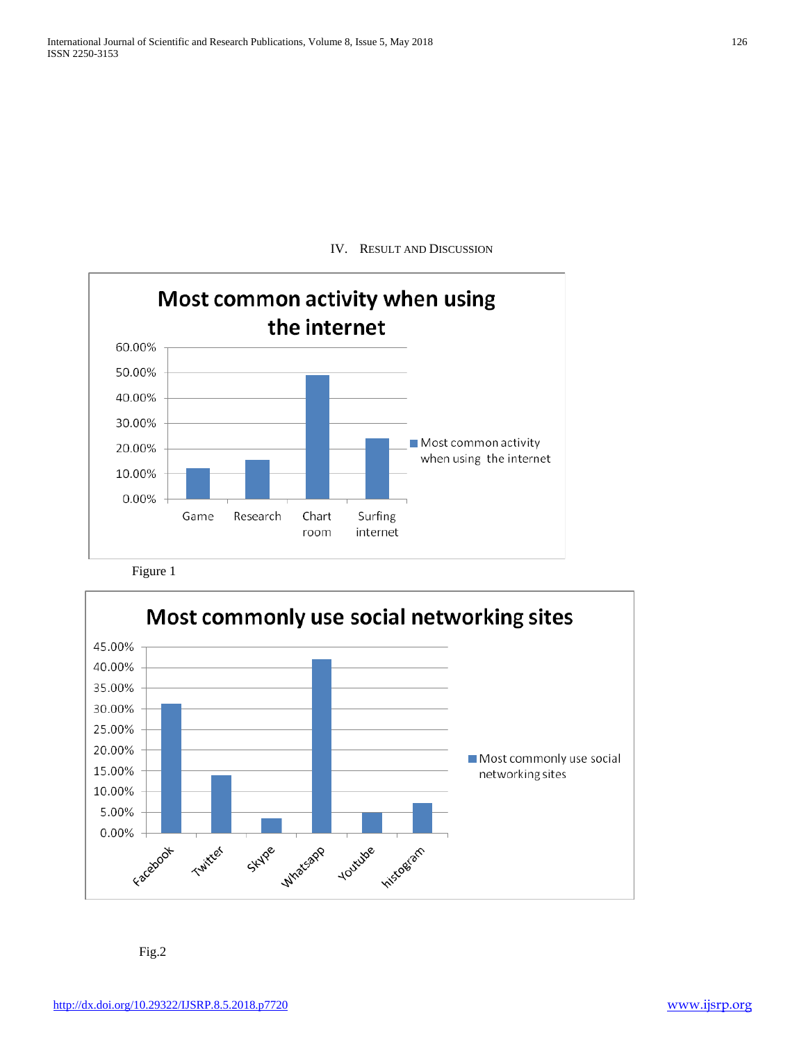IV. RESULT AND DISCUSSION



Figure 1



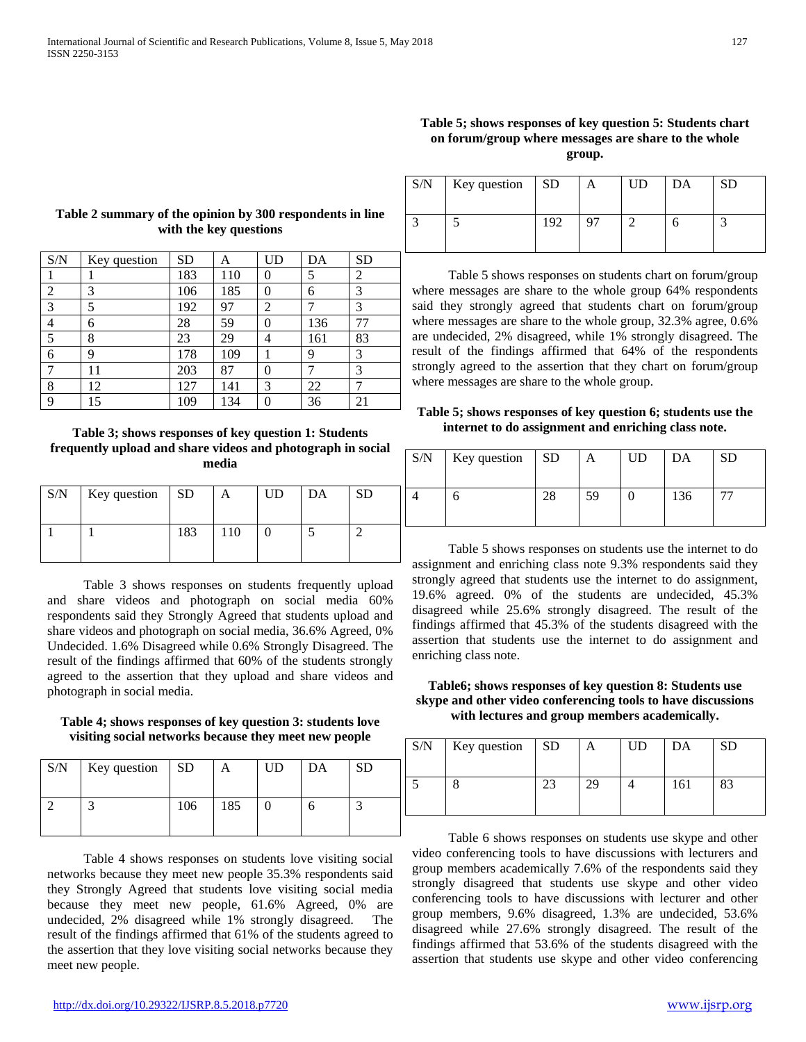| S/N            | Key question | <b>SD</b> | A   | <b>UD</b>      | DA  | <b>SD</b> |
|----------------|--------------|-----------|-----|----------------|-----|-----------|
|                |              | 183       | 110 | 0              | 5   | 2         |
| 2              | 3            | 106       | 185 | 0              | 6   | 3         |
| 3              | 5            | 192       | 97  | 2              |     | 3         |
| $\overline{4}$ | 6            | 28        | 59  | 0              | 136 | 77        |
| 5              | 8            | 23        | 29  | 4              | 161 | 83        |
| 6              | 9            | 178       | 109 |                | 9   | 3         |
| 7              | 11           | 203       | 87  | $\overline{0}$ |     | 3         |
| 8              | 12           | 127       | 141 | 3              | 22  |           |
| 9              | 15           | 109       | 134 | 0              | 36  | 21        |
|                |              |           |     |                |     |           |

# **Table 2 summary of the opinion by 300 respondents in line with the key questions**

**Table 3; shows responses of key question 1: Students frequently upload and share videos and photograph in social media**

| S/N | Key question SD |     | A   | UD | DA | SD |
|-----|-----------------|-----|-----|----|----|----|
|     |                 | 183 | 110 |    |    |    |

 Table 3 shows responses on students frequently upload and share videos and photograph on social media 60% respondents said they Strongly Agreed that students upload and share videos and photograph on social media, 36.6% Agreed, 0% Undecided. 1.6% Disagreed while 0.6% Strongly Disagreed. The result of the findings affirmed that 60% of the students strongly agreed to the assertion that they upload and share videos and photograph in social media.

**Table 4; shows responses of key question 3: students love visiting social networks because they meet new people**

| S/N | Key question $\vert$ SD |     |     | UD | DA | SD |
|-----|-------------------------|-----|-----|----|----|----|
|     |                         | 106 | 185 |    |    |    |

 Table 4 shows responses on students love visiting social networks because they meet new people 35.3% respondents said they Strongly Agreed that students love visiting social media because they meet new people, 61.6% Agreed, 0% are undecided, 2% disagreed while 1% strongly disagreed. The result of the findings affirmed that 61% of the students agreed to the assertion that they love visiting social networks because they meet new people.

# **Table 5; shows responses of key question 5: Students chart on forum/group where messages are share to the whole group.**

| S/N | Key question $ SD$ |     | A | UD | DA | SD |
|-----|--------------------|-----|---|----|----|----|
|     |                    | 192 |   |    |    |    |

 Table 5 shows responses on students chart on forum/group where messages are share to the whole group 64% respondents said they strongly agreed that students chart on forum/group where messages are share to the whole group, 32.3% agree, 0.6% are undecided, 2% disagreed, while 1% strongly disagreed. The result of the findings affirmed that 64% of the respondents strongly agreed to the assertion that they chart on forum/group where messages are share to the whole group.

## **Table 5; shows responses of key question 6; students use the internet to do assignment and enriching class note.**

| S/N | Key question $\vert$ SD |    | А  | <b>UD</b> | DA  | SD |
|-----|-------------------------|----|----|-----------|-----|----|
|     |                         | 28 | 59 |           | 136 | 77 |

 Table 5 shows responses on students use the internet to do assignment and enriching class note 9.3% respondents said they strongly agreed that students use the internet to do assignment, 19.6% agreed. 0% of the students are undecided, 45.3% disagreed while 25.6% strongly disagreed. The result of the findings affirmed that 45.3% of the students disagreed with the assertion that students use the internet to do assignment and enriching class note.

**Table6; shows responses of key question 8: Students use skype and other video conferencing tools to have discussions with lectures and group members academically.**

| S/N | Key question SD |    |    | UD | DA  | SD |
|-----|-----------------|----|----|----|-----|----|
|     |                 | 23 | ററ |    | 161 | 83 |

 Table 6 shows responses on students use skype and other video conferencing tools to have discussions with lecturers and group members academically 7.6% of the respondents said they strongly disagreed that students use skype and other video conferencing tools to have discussions with lecturer and other group members, 9.6% disagreed, 1.3% are undecided, 53.6% disagreed while 27.6% strongly disagreed. The result of the findings affirmed that 53.6% of the students disagreed with the assertion that students use skype and other video conferencing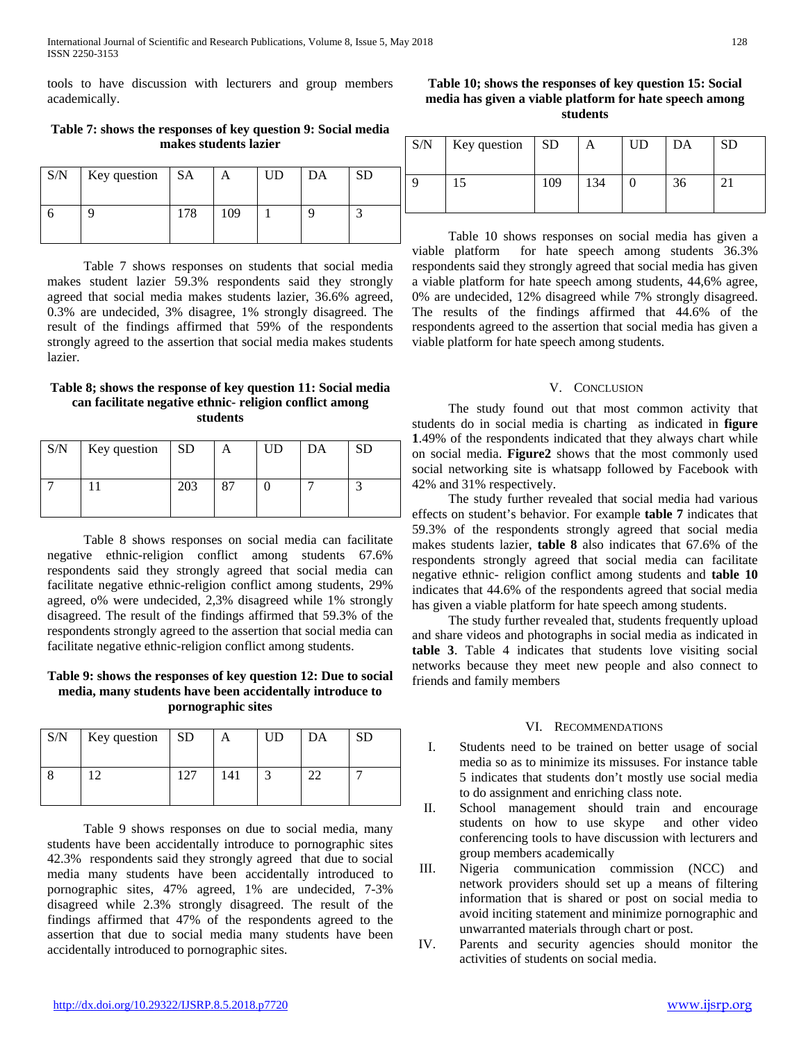tools to have discussion with lecturers and group members academically.

**Table 7: shows the responses of key question 9: Social media makes students lazier**

| S/N | Key question   SA |     |     | UD | DA | <b>SD</b> |
|-----|-------------------|-----|-----|----|----|-----------|
|     |                   | 178 | 109 |    |    |           |

 Table 7 shows responses on students that social media makes student lazier 59.3% respondents said they strongly agreed that social media makes students lazier, 36.6% agreed, 0.3% are undecided, 3% disagree, 1% strongly disagreed. The result of the findings affirmed that 59% of the respondents strongly agreed to the assertion that social media makes students lazier.

## **Table 8; shows the response of key question 11: Social media can facilitate negative ethnic- religion conflict among students**

| S/N | Key question $\vert$ SD |     | A  | UD | DA | SD |
|-----|-------------------------|-----|----|----|----|----|
|     |                         | 203 | 87 |    |    |    |

 Table 8 shows responses on social media can facilitate negative ethnic-religion conflict among students 67.6% respondents said they strongly agreed that social media can facilitate negative ethnic-religion conflict among students, 29% agreed, o% were undecided, 2,3% disagreed while 1% strongly disagreed. The result of the findings affirmed that 59.3% of the respondents strongly agreed to the assertion that social media can facilitate negative ethnic-religion conflict among students.

# **Table 9: shows the responses of key question 12: Due to social media, many students have been accidentally introduce to pornographic sites**

| S/N | Key question $\vert$ SD |     | Α   | UD | DA | SD |
|-----|-------------------------|-----|-----|----|----|----|
|     |                         | 127 | 141 |    | າາ |    |

 Table 9 shows responses on due to social media, many students have been accidentally introduce to pornographic sites 42.3% respondents said they strongly agreed that due to social media many students have been accidentally introduced to pornographic sites, 47% agreed, 1% are undecided, 7-3% disagreed while 2.3% strongly disagreed. The result of the findings affirmed that 47% of the respondents agreed to the assertion that due to social media many students have been accidentally introduced to pornographic sites.

**Table 10; shows the responses of key question 15: Social media has given a viable platform for hate speech among students**

| S/N | $Key question$ SD |     | A   | UD | DΑ | SD |
|-----|-------------------|-----|-----|----|----|----|
|     |                   | 109 | 134 |    | 36 |    |

 Table 10 shows responses on social media has given a viable platform for hate speech among students 36.3% respondents said they strongly agreed that social media has given a viable platform for hate speech among students, 44,6% agree, 0% are undecided, 12% disagreed while 7% strongly disagreed. The results of the findings affirmed that 44.6% of the respondents agreed to the assertion that social media has given a viable platform for hate speech among students.

## V. CONCLUSION

 The study found out that most common activity that students do in social media is charting as indicated in **figure 1**.49% of the respondents indicated that they always chart while on social media. **Figure2** shows that the most commonly used social networking site is whatsapp followed by Facebook with 42% and 31% respectively.

 The study further revealed that social media had various effects on student's behavior. For example **table 7** indicates that 59.3% of the respondents strongly agreed that social media makes students lazier, **table 8** also indicates that 67.6% of the respondents strongly agreed that social media can facilitate negative ethnic- religion conflict among students and **table 10**  indicates that 44.6% of the respondents agreed that social media has given a viable platform for hate speech among students.

 The study further revealed that, students frequently upload and share videos and photographs in social media as indicated in **table 3**. Table 4 indicates that students love visiting social networks because they meet new people and also connect to friends and family members

# VI. RECOMMENDATIONS

- I. Students need to be trained on better usage of social media so as to minimize its missuses. For instance table 5 indicates that students don't mostly use social media to do assignment and enriching class note.
- II. School management should train and encourage students on how to use skype and other video conferencing tools to have discussion with lecturers and group members academically
- III. Nigeria communication commission (NCC) and network providers should set up a means of filtering information that is shared or post on social media to avoid inciting statement and minimize pornographic and unwarranted materials through chart or post.
- IV. Parents and security agencies should monitor the activities of students on social media.